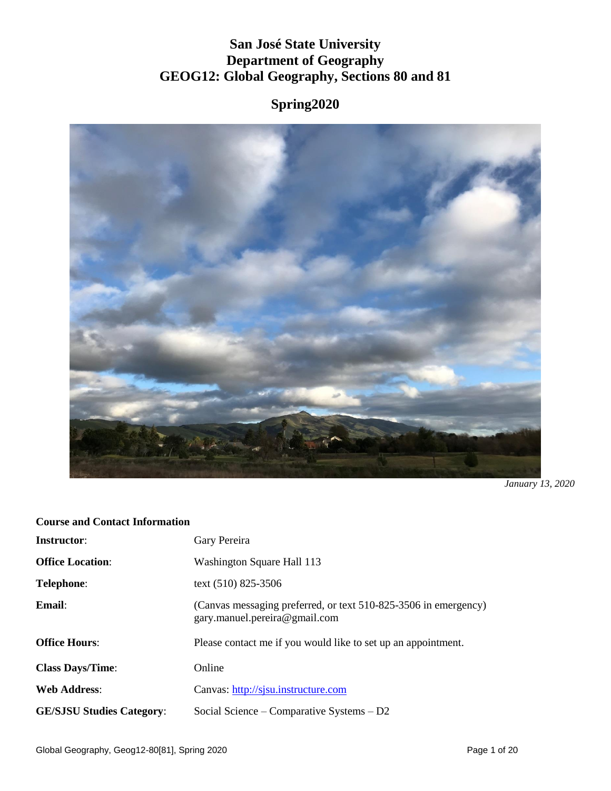# **San José State University Department of Geography GEOG12: Global Geography, Sections 80 and 81**

# **Spring2020**



*January 13, 2020*

#### **Course and Contact Information**

| <b>Instructor:</b>               | Gary Pereira                                                                                     |
|----------------------------------|--------------------------------------------------------------------------------------------------|
| <b>Office Location:</b>          | Washington Square Hall 113                                                                       |
| Telephone:                       | text (510) 825-3506                                                                              |
| Email:                           | (Canvas messaging preferred, or text 510-825-3506 in emergency)<br>gary.manuel.pereira@gmail.com |
| <b>Office Hours:</b>             | Please contact me if you would like to set up an appointment.                                    |
| <b>Class Days/Time:</b>          | Online                                                                                           |
| <b>Web Address:</b>              | Canvas: http://sjsu.instructure.com                                                              |
| <b>GE/SJSU Studies Category:</b> | Social Science – Comparative Systems – $D2$                                                      |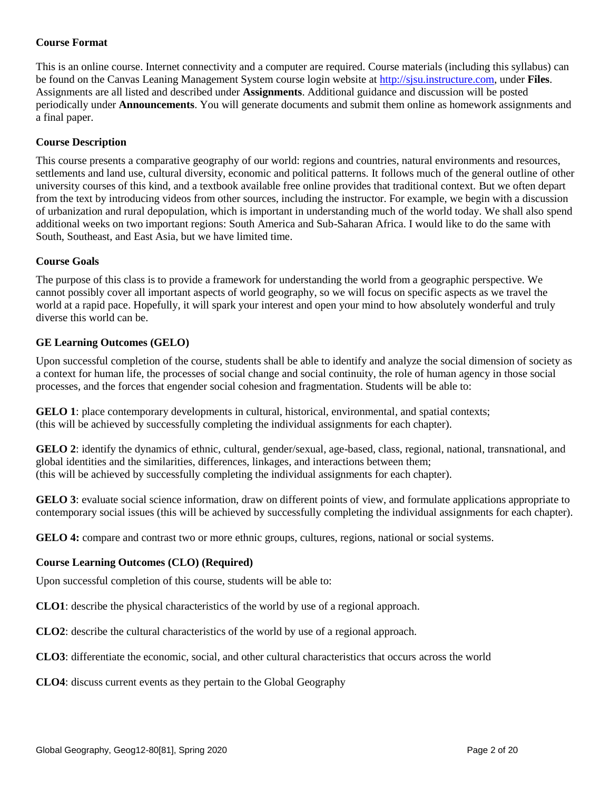## **Course Format**

This is an online course. Internet connectivity and a computer are required. Course materials (including this syllabus) can be found on the Canvas Leaning Management System course login website at [http://sjsu.instructure.com,](http://sjsu.instructure.com/) under **Files**. Assignments are all listed and described under **Assignments**. Additional guidance and discussion will be posted periodically under **Announcements**. You will generate documents and submit them online as homework assignments and a final paper.

#### **Course Description**

This course presents a comparative geography of our world: regions and countries, natural environments and resources, settlements and land use, cultural diversity, economic and political patterns. It follows much of the general outline of other university courses of this kind, and a textbook available free online provides that traditional context. But we often depart from the text by introducing videos from other sources, including the instructor. For example, we begin with a discussion of urbanization and rural depopulation, which is important in understanding much of the world today. We shall also spend additional weeks on two important regions: South America and Sub-Saharan Africa. I would like to do the same with South, Southeast, and East Asia, but we have limited time.

#### **Course Goals**

The purpose of this class is to provide a framework for understanding the world from a geographic perspective. We cannot possibly cover all important aspects of world geography, so we will focus on specific aspects as we travel the world at a rapid pace. Hopefully, it will spark your interest and open your mind to how absolutely wonderful and truly diverse this world can be.

#### **GE Learning Outcomes (GELO)**

Upon successful completion of the course, students shall be able to identify and analyze the social dimension of society as a context for human life, the processes of social change and social continuity, the role of human agency in those social processes, and the forces that engender social cohesion and fragmentation. Students will be able to:

**GELO 1**: place contemporary developments in cultural, historical, environmental, and spatial contexts; (this will be achieved by successfully completing the individual assignments for each chapter).

**GELO 2**: identify the dynamics of ethnic, cultural, gender/sexual, age-based, class, regional, national, transnational, and global identities and the similarities, differences, linkages, and interactions between them; (this will be achieved by successfully completing the individual assignments for each chapter).

**GELO 3**: evaluate social science information, draw on different points of view, and formulate applications appropriate to contemporary social issues (this will be achieved by successfully completing the individual assignments for each chapter).

**GELO 4:** compare and contrast two or more ethnic groups, cultures, regions, national or social systems.

#### **Course Learning Outcomes (CLO) (Required)**

Upon successful completion of this course, students will be able to:

**CLO1**: describe the physical characteristics of the world by use of a regional approach.

**CLO2**: describe the cultural characteristics of the world by use of a regional approach.

**CLO3**: differentiate the economic, social, and other cultural characteristics that occurs across the world

**CLO4**: discuss current events as they pertain to the Global Geography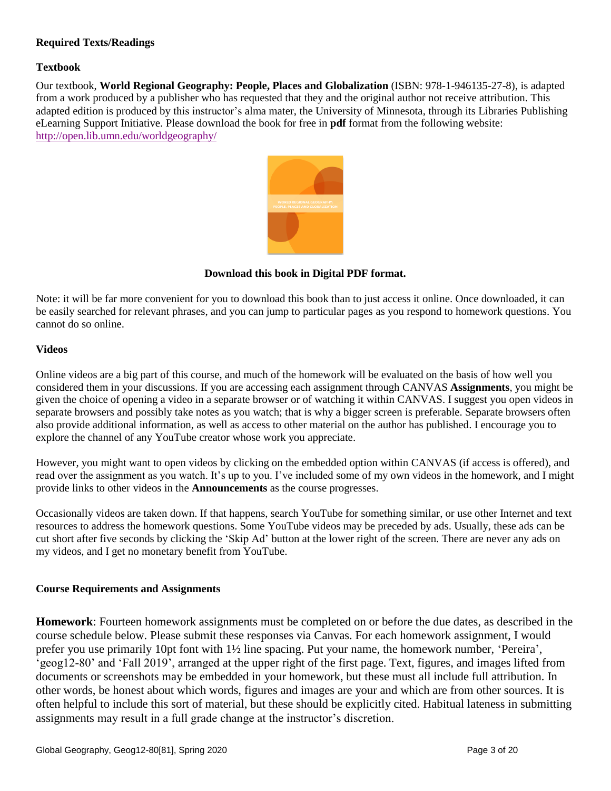## **Required Texts/Readings**

## **Textbook**

Our textbook, **World Regional Geography: People, Places and Globalization** (ISBN: 978-1-946135-27-8), is adapted from a work produced by a publisher who has requested that they and the original author not receive attribution. This adapted edition is produced by this instructor's alma mater, the University of Minnesota, through its Libraries Publishing eLearning Support Initiative. Please download the book for free in **pdf** format from the following website: <http://open.lib.umn.edu/worldgeography/>



**Download this book in Digital PDF format.**

Note: it will be far more convenient for you to download this book than to just access it online. Once downloaded, it can be easily searched for relevant phrases, and you can jump to particular pages as you respond to homework questions. You cannot do so online.

#### **Videos**

Online videos are a big part of this course, and much of the homework will be evaluated on the basis of how well you considered them in your discussions. If you are accessing each assignment through CANVAS **Assignments**, you might be given the choice of opening a video in a separate browser or of watching it within CANVAS. I suggest you open videos in separate browsers and possibly take notes as you watch; that is why a bigger screen is preferable. Separate browsers often also provide additional information, as well as access to other material on the author has published. I encourage you to explore the channel of any YouTube creator whose work you appreciate.

However, you might want to open videos by clicking on the embedded option within CANVAS (if access is offered), and read over the assignment as you watch. It's up to you. I've included some of my own videos in the homework, and I might provide links to other videos in the **Announcements** as the course progresses.

Occasionally videos are taken down. If that happens, search YouTube for something similar, or use other Internet and text resources to address the homework questions. Some YouTube videos may be preceded by ads. Usually, these ads can be cut short after five seconds by clicking the 'Skip Ad' button at the lower right of the screen. There are never any ads on my videos, and I get no monetary benefit from YouTube.

#### **Course Requirements and Assignments**

**Homework**: Fourteen homework assignments must be completed on or before the due dates, as described in the course schedule below. Please submit these responses via Canvas. For each homework assignment, I would prefer you use primarily 10pt font with 1½ line spacing. Put your name, the homework number, 'Pereira', 'geog12-80' and 'Fall 2019', arranged at the upper right of the first page. Text, figures, and images lifted from documents or screenshots may be embedded in your homework, but these must all include full attribution. In other words, be honest about which words, figures and images are your and which are from other sources. It is often helpful to include this sort of material, but these should be explicitly cited. Habitual lateness in submitting assignments may result in a full grade change at the instructor's discretion.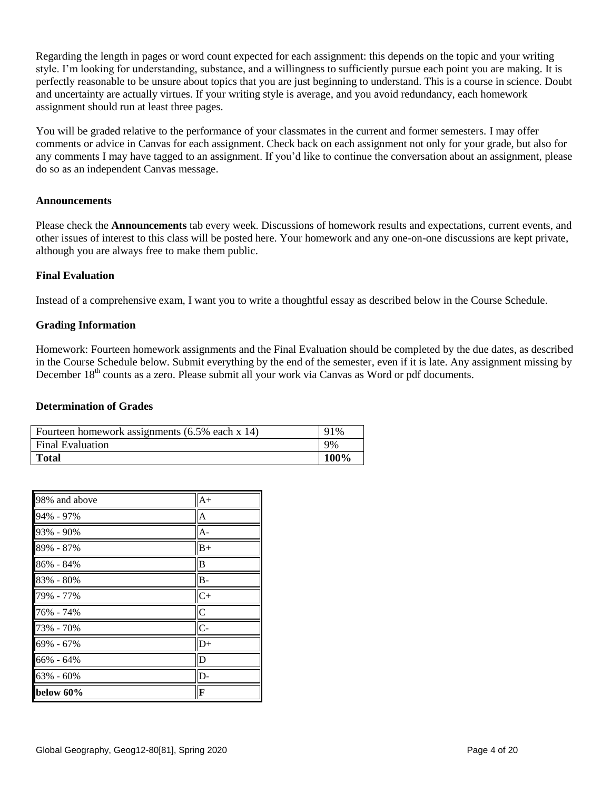Regarding the length in pages or word count expected for each assignment: this depends on the topic and your writing style. I'm looking for understanding, substance, and a willingness to sufficiently pursue each point you are making. It is perfectly reasonable to be unsure about topics that you are just beginning to understand. This is a course in science. Doubt and uncertainty are actually virtues. If your writing style is average, and you avoid redundancy, each homework assignment should run at least three pages.

You will be graded relative to the performance of your classmates in the current and former semesters. I may offer comments or advice in Canvas for each assignment. Check back on each assignment not only for your grade, but also for any comments I may have tagged to an assignment. If you'd like to continue the conversation about an assignment, please do so as an independent Canvas message.

#### **Announcements**

Please check the **Announcements** tab every week. Discussions of homework results and expectations, current events, and other issues of interest to this class will be posted here. Your homework and any one-on-one discussions are kept private, although you are always free to make them public.

#### **Final Evaluation**

Instead of a comprehensive exam, I want you to write a thoughtful essay as described below in the Course Schedule.

#### **Grading Information**

Homework: Fourteen homework assignments and the Final Evaluation should be completed by the due dates, as described in the Course Schedule below. Submit everything by the end of the semester, even if it is late. Any assignment missing by December 18<sup>th</sup> counts as a zero. Please submit all your work via Canvas as Word or pdf documents.

#### **Determination of Grades**

| Fourteen homework assignments (6.5% each x 14) | 91%  |
|------------------------------------------------|------|
| <b>Final Evaluation</b>                        | 9%   |
| <b>Total</b>                                   | 100% |

| 98% and above | $A+$           |
|---------------|----------------|
| 94% - 97%     | $\overline{A}$ |
| 93% - 90%     | $A -$          |
| 89% - 87%     | $B+$           |
| 86% - 84%     | B              |
| 83% - 80%     | $B -$          |
| 79% - 77%     | $C+$           |
| 76% - 74%     | $\overline{C}$ |
| 73% - 70%     | $\overline{C}$ |
| 69% - 67%     | $D+$           |
| 66% - 64%     | D              |
| 63% - 60%     | D-             |
| below 60%     | F              |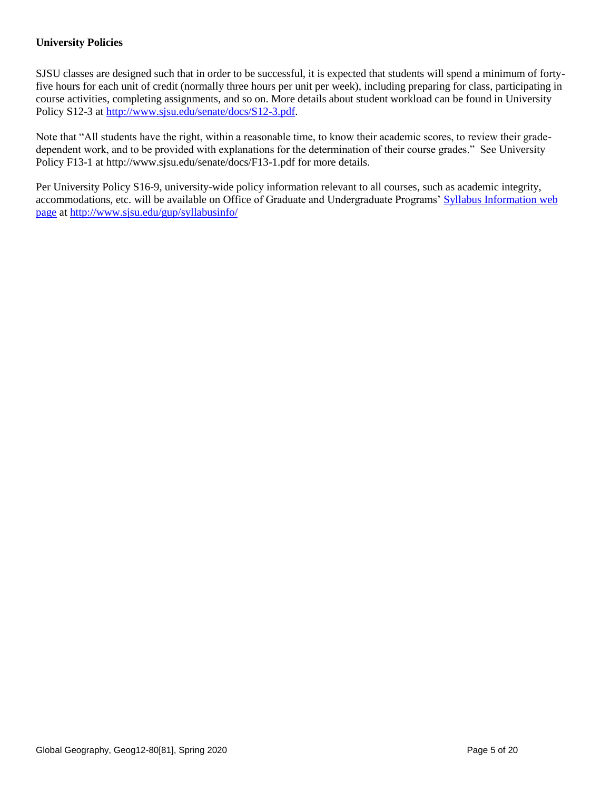# **University Policies**

SJSU classes are designed such that in order to be successful, it is expected that students will spend a minimum of fortyfive hours for each unit of credit (normally three hours per unit per week), including preparing for class, participating in course activities, completing assignments, and so on. More details about student workload can be found in University Policy S12-3 at [http://www.sjsu.edu/senate/docs/S12-3.pdf.](http://www.sjsu.edu/senate/docs/S12-3.pdf)

Note that "All students have the right, within a reasonable time, to know their academic scores, to review their gradedependent work, and to be provided with explanations for the determination of their course grades." See University Policy F13-1 at http://www.sjsu.edu/senate/docs/F13-1.pdf for more details.

Per University Policy S16-9, university-wide policy information relevant to all courses, such as academic integrity, accommodations, etc. will be available on Office of Graduate and Undergraduate Programs' [Syllabus Information](http://www.sjsu.edu/gup/syllabusinfo/) web [page](http://www.sjsu.edu/gup/syllabusinfo/) at<http://www.sjsu.edu/gup/syllabusinfo/>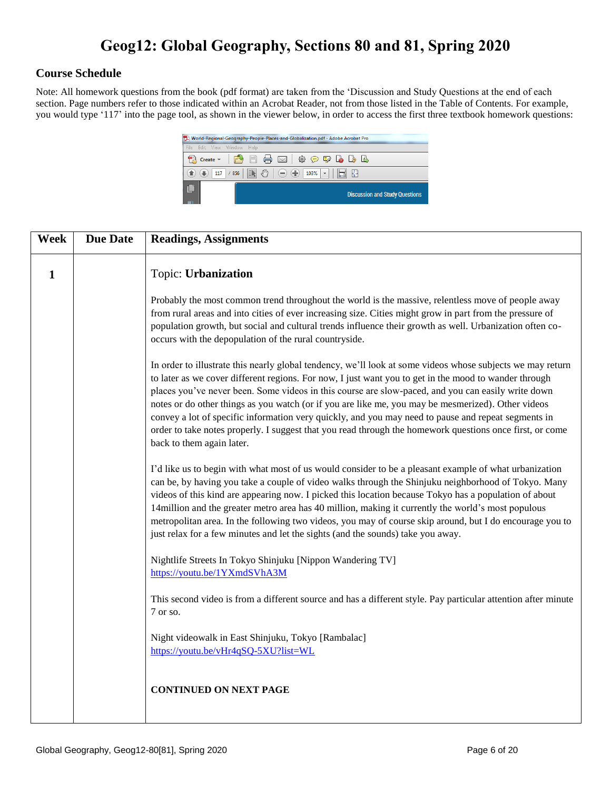# **Geog12: Global Geography, Sections 80 and 81, Spring 2020**

# **Course Schedule**

Note: All homework questions from the book (pdf format) are taken from the 'Discussion and Study Questions at the end of each section. Page numbers refer to those indicated within an Acrobat Reader, not from those listed in the Table of Contents. For example, you would type '117' into the page tool, as shown in the viewer below, in order to access the first three textbook homework questions:



| <b>Week</b> | <b>Due Date</b> | <b>Readings, Assignments</b>                                                                                                                                                                                                                                                                                                                                                                                                                                                                                                                                                                                                                                                    |
|-------------|-----------------|---------------------------------------------------------------------------------------------------------------------------------------------------------------------------------------------------------------------------------------------------------------------------------------------------------------------------------------------------------------------------------------------------------------------------------------------------------------------------------------------------------------------------------------------------------------------------------------------------------------------------------------------------------------------------------|
| 1           |                 | Topic: Urbanization                                                                                                                                                                                                                                                                                                                                                                                                                                                                                                                                                                                                                                                             |
|             |                 | Probably the most common trend throughout the world is the massive, relentless move of people away<br>from rural areas and into cities of ever increasing size. Cities might grow in part from the pressure of<br>population growth, but social and cultural trends influence their growth as well. Urbanization often co-<br>occurs with the depopulation of the rural countryside.                                                                                                                                                                                                                                                                                            |
|             |                 | In order to illustrate this nearly global tendency, we'll look at some videos whose subjects we may return<br>to later as we cover different regions. For now, I just want you to get in the mood to wander through<br>places you've never been. Some videos in this course are slow-paced, and you can easily write down<br>notes or do other things as you watch (or if you are like me, you may be mesmerized). Other videos<br>convey a lot of specific information very quickly, and you may need to pause and repeat segments in<br>order to take notes properly. I suggest that you read through the homework questions once first, or come<br>back to them again later. |
|             |                 | I'd like us to begin with what most of us would consider to be a pleasant example of what urbanization<br>can be, by having you take a couple of video walks through the Shinjuku neighborhood of Tokyo. Many<br>videos of this kind are appearing now. I picked this location because Tokyo has a population of about<br>14 million and the greater metro area has 40 million, making it currently the world's most populous<br>metropolitan area. In the following two videos, you may of course skip around, but I do encourage you to<br>just relax for a few minutes and let the sights (and the sounds) take you away.                                                    |
|             |                 | Nightlife Streets In Tokyo Shinjuku [Nippon Wandering TV]<br>https://youtu.be/1YXmdSVhA3M                                                                                                                                                                                                                                                                                                                                                                                                                                                                                                                                                                                       |
|             |                 | This second video is from a different source and has a different style. Pay particular attention after minute<br>7 or so.                                                                                                                                                                                                                                                                                                                                                                                                                                                                                                                                                       |
|             |                 | Night videowalk in East Shinjuku, Tokyo [Rambalac]<br>https://youtu.be/vHr4qSQ-5XU?list=WL                                                                                                                                                                                                                                                                                                                                                                                                                                                                                                                                                                                      |
|             |                 | <b>CONTINUED ON NEXT PAGE</b>                                                                                                                                                                                                                                                                                                                                                                                                                                                                                                                                                                                                                                                   |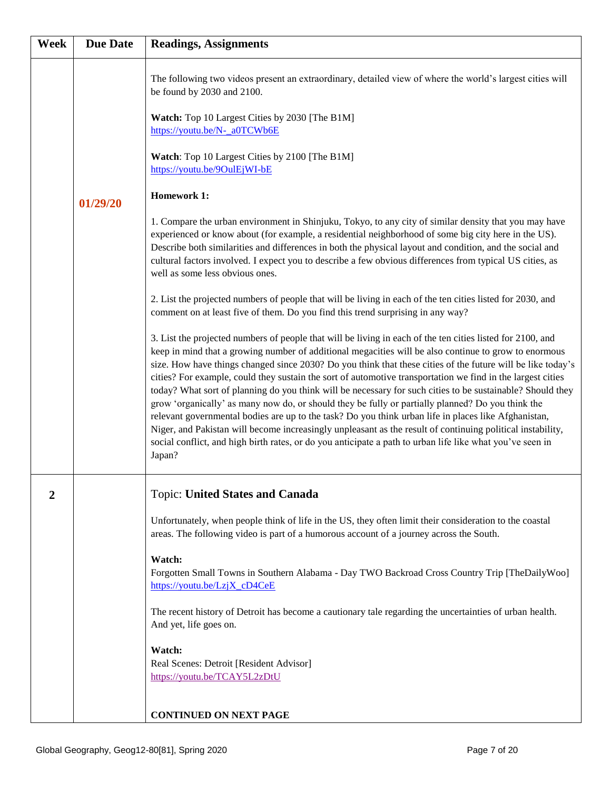| Week           | <b>Due Date</b> | <b>Readings, Assignments</b>                                                                                                                                                                                                                                                                                                                                                                                                                                                                                                                                                                                                                                                                                                                                                                                                                                                                                                                                                                                      |
|----------------|-----------------|-------------------------------------------------------------------------------------------------------------------------------------------------------------------------------------------------------------------------------------------------------------------------------------------------------------------------------------------------------------------------------------------------------------------------------------------------------------------------------------------------------------------------------------------------------------------------------------------------------------------------------------------------------------------------------------------------------------------------------------------------------------------------------------------------------------------------------------------------------------------------------------------------------------------------------------------------------------------------------------------------------------------|
|                |                 | The following two videos present an extraordinary, detailed view of where the world's largest cities will<br>be found by 2030 and 2100.                                                                                                                                                                                                                                                                                                                                                                                                                                                                                                                                                                                                                                                                                                                                                                                                                                                                           |
|                |                 | Watch: Top 10 Largest Cities by 2030 [The B1M]<br>https://youtu.be/N-_a0TCWb6E                                                                                                                                                                                                                                                                                                                                                                                                                                                                                                                                                                                                                                                                                                                                                                                                                                                                                                                                    |
|                |                 | Watch: Top 10 Largest Cities by 2100 [The B1M]<br>https://youtu.be/9OulEjWI-bE                                                                                                                                                                                                                                                                                                                                                                                                                                                                                                                                                                                                                                                                                                                                                                                                                                                                                                                                    |
|                | 01/29/20        | <b>Homework 1:</b>                                                                                                                                                                                                                                                                                                                                                                                                                                                                                                                                                                                                                                                                                                                                                                                                                                                                                                                                                                                                |
|                |                 | 1. Compare the urban environment in Shinjuku, Tokyo, to any city of similar density that you may have<br>experienced or know about (for example, a residential neighborhood of some big city here in the US).<br>Describe both similarities and differences in both the physical layout and condition, and the social and<br>cultural factors involved. I expect you to describe a few obvious differences from typical US cities, as<br>well as some less obvious ones.                                                                                                                                                                                                                                                                                                                                                                                                                                                                                                                                          |
|                |                 | 2. List the projected numbers of people that will be living in each of the ten cities listed for 2030, and<br>comment on at least five of them. Do you find this trend surprising in any way?                                                                                                                                                                                                                                                                                                                                                                                                                                                                                                                                                                                                                                                                                                                                                                                                                     |
|                |                 | 3. List the projected numbers of people that will be living in each of the ten cities listed for 2100, and<br>keep in mind that a growing number of additional megacities will be also continue to grow to enormous<br>size. How have things changed since 2030? Do you think that these cities of the future will be like today's<br>cities? For example, could they sustain the sort of automotive transportation we find in the largest cities<br>today? What sort of planning do you think will be necessary for such cities to be sustainable? Should they<br>grow 'organically' as many now do, or should they be fully or partially planned? Do you think the<br>relevant governmental bodies are up to the task? Do you think urban life in places like Afghanistan,<br>Niger, and Pakistan will become increasingly unpleasant as the result of continuing political instability,<br>social conflict, and high birth rates, or do you anticipate a path to urban life like what you've seen in<br>Japan? |
| $\overline{2}$ |                 | <b>Topic: United States and Canada</b>                                                                                                                                                                                                                                                                                                                                                                                                                                                                                                                                                                                                                                                                                                                                                                                                                                                                                                                                                                            |
|                |                 | Unfortunately, when people think of life in the US, they often limit their consideration to the coastal<br>areas. The following video is part of a humorous account of a journey across the South.                                                                                                                                                                                                                                                                                                                                                                                                                                                                                                                                                                                                                                                                                                                                                                                                                |
|                |                 | Watch:<br>Forgotten Small Towns in Southern Alabama - Day TWO Backroad Cross Country Trip [TheDailyWoo]<br>https://youtu.be/LzjX_cD4CeE                                                                                                                                                                                                                                                                                                                                                                                                                                                                                                                                                                                                                                                                                                                                                                                                                                                                           |
|                |                 | The recent history of Detroit has become a cautionary tale regarding the uncertainties of urban health.<br>And yet, life goes on.                                                                                                                                                                                                                                                                                                                                                                                                                                                                                                                                                                                                                                                                                                                                                                                                                                                                                 |
|                |                 | Watch:<br>Real Scenes: Detroit [Resident Advisor]<br>https://youtu.be/TCAY5L2zDtU                                                                                                                                                                                                                                                                                                                                                                                                                                                                                                                                                                                                                                                                                                                                                                                                                                                                                                                                 |
|                |                 | <b>CONTINUED ON NEXT PAGE</b>                                                                                                                                                                                                                                                                                                                                                                                                                                                                                                                                                                                                                                                                                                                                                                                                                                                                                                                                                                                     |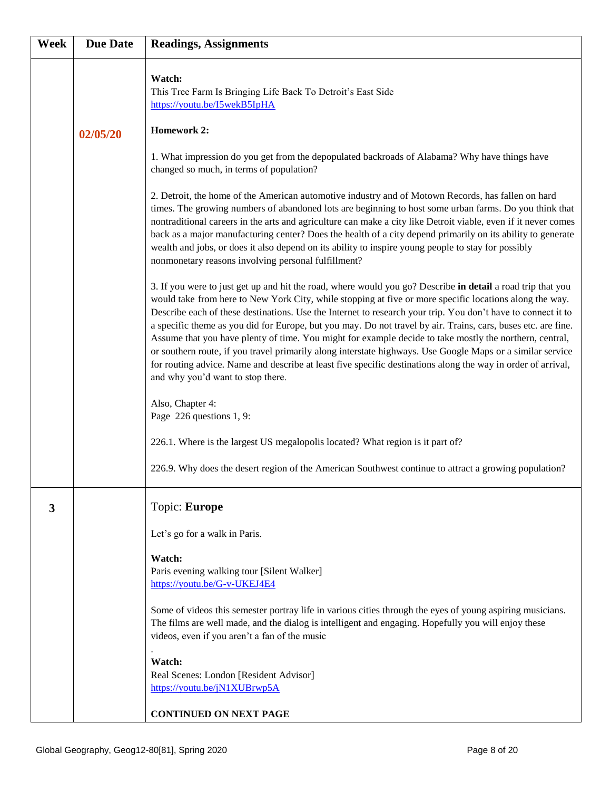| Week | <b>Due Date</b> | <b>Readings, Assignments</b>                                                                                                                                                                                                                                                                                                                                                                                                                                                                                                                                                                                                                                                                                                                                                                                                          |
|------|-----------------|---------------------------------------------------------------------------------------------------------------------------------------------------------------------------------------------------------------------------------------------------------------------------------------------------------------------------------------------------------------------------------------------------------------------------------------------------------------------------------------------------------------------------------------------------------------------------------------------------------------------------------------------------------------------------------------------------------------------------------------------------------------------------------------------------------------------------------------|
|      | 02/05/20        | Watch:<br>This Tree Farm Is Bringing Life Back To Detroit's East Side<br>https://youtu.be/I5wekB5IpHA<br><b>Homework 2:</b>                                                                                                                                                                                                                                                                                                                                                                                                                                                                                                                                                                                                                                                                                                           |
|      |                 | 1. What impression do you get from the depopulated backroads of Alabama? Why have things have<br>changed so much, in terms of population?                                                                                                                                                                                                                                                                                                                                                                                                                                                                                                                                                                                                                                                                                             |
|      |                 | 2. Detroit, the home of the American automotive industry and of Motown Records, has fallen on hard<br>times. The growing numbers of abandoned lots are beginning to host some urban farms. Do you think that<br>nontraditional careers in the arts and agriculture can make a city like Detroit viable, even if it never comes<br>back as a major manufacturing center? Does the health of a city depend primarily on its ability to generate<br>wealth and jobs, or does it also depend on its ability to inspire young people to stay for possibly<br>nonmonetary reasons involving personal fulfillment?                                                                                                                                                                                                                           |
|      |                 | 3. If you were to just get up and hit the road, where would you go? Describe in detail a road trip that you<br>would take from here to New York City, while stopping at five or more specific locations along the way.<br>Describe each of these destinations. Use the Internet to research your trip. You don't have to connect it to<br>a specific theme as you did for Europe, but you may. Do not travel by air. Trains, cars, buses etc. are fine.<br>Assume that you have plenty of time. You might for example decide to take mostly the northern, central,<br>or southern route, if you travel primarily along interstate highways. Use Google Maps or a similar service<br>for routing advice. Name and describe at least five specific destinations along the way in order of arrival,<br>and why you'd want to stop there. |
|      |                 | Also, Chapter 4:<br>Page 226 questions 1, 9:                                                                                                                                                                                                                                                                                                                                                                                                                                                                                                                                                                                                                                                                                                                                                                                          |
|      |                 | 226.1. Where is the largest US megalopolis located? What region is it part of?                                                                                                                                                                                                                                                                                                                                                                                                                                                                                                                                                                                                                                                                                                                                                        |
|      |                 | 226.9. Why does the desert region of the American Southwest continue to attract a growing population?                                                                                                                                                                                                                                                                                                                                                                                                                                                                                                                                                                                                                                                                                                                                 |
| 3    |                 | Topic: Europe                                                                                                                                                                                                                                                                                                                                                                                                                                                                                                                                                                                                                                                                                                                                                                                                                         |
|      |                 | Let's go for a walk in Paris.                                                                                                                                                                                                                                                                                                                                                                                                                                                                                                                                                                                                                                                                                                                                                                                                         |
|      |                 | Watch:<br>Paris evening walking tour [Silent Walker]<br>https://youtu.be/G-v-UKEJ4E4                                                                                                                                                                                                                                                                                                                                                                                                                                                                                                                                                                                                                                                                                                                                                  |
|      |                 | Some of videos this semester portray life in various cities through the eyes of young aspiring musicians.<br>The films are well made, and the dialog is intelligent and engaging. Hopefully you will enjoy these<br>videos, even if you aren't a fan of the music                                                                                                                                                                                                                                                                                                                                                                                                                                                                                                                                                                     |
|      |                 | Watch:<br>Real Scenes: London [Resident Advisor]<br>https://youtu.be/jN1XUBrwp5A                                                                                                                                                                                                                                                                                                                                                                                                                                                                                                                                                                                                                                                                                                                                                      |
|      |                 | <b>CONTINUED ON NEXT PAGE</b>                                                                                                                                                                                                                                                                                                                                                                                                                                                                                                                                                                                                                                                                                                                                                                                                         |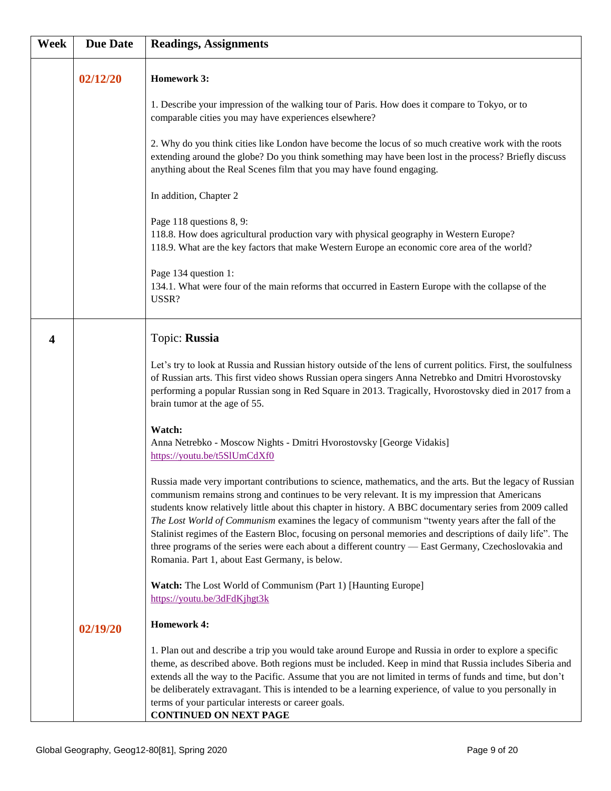| Week | <b>Due Date</b> | <b>Readings, Assignments</b>                                                                                                                                                                                                                                                                                                                                                                                                                                                                                                                                                                                                                                                                      |
|------|-----------------|---------------------------------------------------------------------------------------------------------------------------------------------------------------------------------------------------------------------------------------------------------------------------------------------------------------------------------------------------------------------------------------------------------------------------------------------------------------------------------------------------------------------------------------------------------------------------------------------------------------------------------------------------------------------------------------------------|
|      | 02/12/20        | <b>Homework 3:</b>                                                                                                                                                                                                                                                                                                                                                                                                                                                                                                                                                                                                                                                                                |
|      |                 | 1. Describe your impression of the walking tour of Paris. How does it compare to Tokyo, or to<br>comparable cities you may have experiences elsewhere?                                                                                                                                                                                                                                                                                                                                                                                                                                                                                                                                            |
|      |                 | 2. Why do you think cities like London have become the locus of so much creative work with the roots<br>extending around the globe? Do you think something may have been lost in the process? Briefly discuss<br>anything about the Real Scenes film that you may have found engaging.                                                                                                                                                                                                                                                                                                                                                                                                            |
|      |                 | In addition, Chapter 2                                                                                                                                                                                                                                                                                                                                                                                                                                                                                                                                                                                                                                                                            |
|      |                 | Page 118 questions 8, 9:<br>118.8. How does agricultural production vary with physical geography in Western Europe?<br>118.9. What are the key factors that make Western Europe an economic core area of the world?                                                                                                                                                                                                                                                                                                                                                                                                                                                                               |
|      |                 | Page 134 question 1:<br>134.1. What were four of the main reforms that occurred in Eastern Europe with the collapse of the<br>USSR?                                                                                                                                                                                                                                                                                                                                                                                                                                                                                                                                                               |
| 4    |                 | Topic: Russia                                                                                                                                                                                                                                                                                                                                                                                                                                                                                                                                                                                                                                                                                     |
|      |                 | Let's try to look at Russia and Russian history outside of the lens of current politics. First, the soulfulness<br>of Russian arts. This first video shows Russian opera singers Anna Netrebko and Dmitri Hvorostovsky<br>performing a popular Russian song in Red Square in 2013. Tragically, Hvorostovsky died in 2017 from a<br>brain tumor at the age of 55.                                                                                                                                                                                                                                                                                                                                  |
|      |                 | Watch:<br>Anna Netrebko - Moscow Nights - Dmitri Hvorostovsky [George Vidakis]<br>https://youtu.be/t5SlUmCdXf0                                                                                                                                                                                                                                                                                                                                                                                                                                                                                                                                                                                    |
|      |                 | Russia made very important contributions to science, mathematics, and the arts. But the legacy of Russian<br>communism remains strong and continues to be very relevant. It is my impression that Americans<br>students know relatively little about this chapter in history. A BBC documentary series from 2009 called<br>The Lost World of Communism examines the legacy of communism "twenty years after the fall of the<br>Stalinist regimes of the Eastern Bloc, focusing on personal memories and descriptions of daily life". The<br>three programs of the series were each about a different country - East Germany, Czechoslovakia and<br>Romania. Part 1, about East Germany, is below. |
|      |                 | Watch: The Lost World of Communism (Part 1) [Haunting Europe]<br>https://youtu.be/3dFdKjhgt3k                                                                                                                                                                                                                                                                                                                                                                                                                                                                                                                                                                                                     |
|      | 02/19/20        | <b>Homework 4:</b>                                                                                                                                                                                                                                                                                                                                                                                                                                                                                                                                                                                                                                                                                |
|      |                 | 1. Plan out and describe a trip you would take around Europe and Russia in order to explore a specific<br>theme, as described above. Both regions must be included. Keep in mind that Russia includes Siberia and<br>extends all the way to the Pacific. Assume that you are not limited in terms of funds and time, but don't<br>be deliberately extravagant. This is intended to be a learning experience, of value to you personally in<br>terms of your particular interests or career goals.<br><b>CONTINUED ON NEXT PAGE</b>                                                                                                                                                                |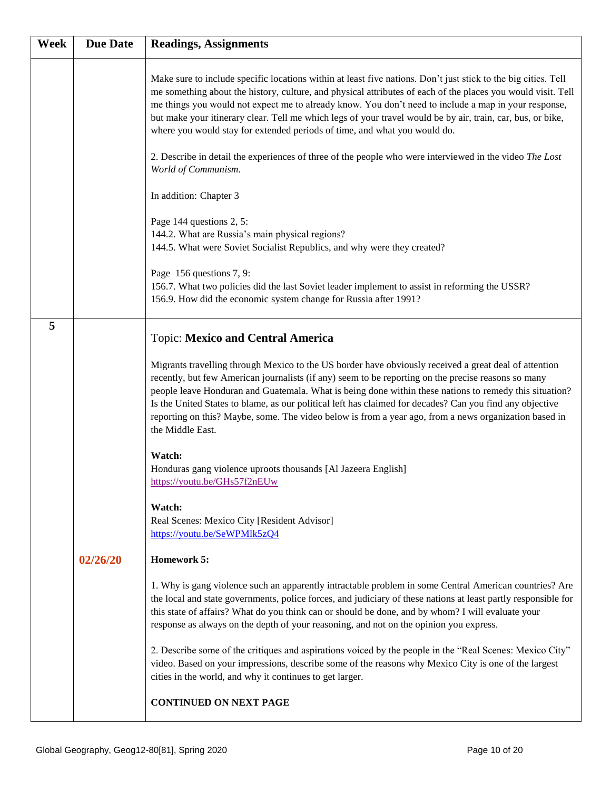| Week | <b>Due Date</b> | <b>Readings, Assignments</b>                                                                                                                                                                                                                                                                                                                                                                                                                                                                                                                                                                                                                  |
|------|-----------------|-----------------------------------------------------------------------------------------------------------------------------------------------------------------------------------------------------------------------------------------------------------------------------------------------------------------------------------------------------------------------------------------------------------------------------------------------------------------------------------------------------------------------------------------------------------------------------------------------------------------------------------------------|
|      |                 | Make sure to include specific locations within at least five nations. Don't just stick to the big cities. Tell<br>me something about the history, culture, and physical attributes of each of the places you would visit. Tell<br>me things you would not expect me to already know. You don't need to include a map in your response,<br>but make your itinerary clear. Tell me which legs of your travel would be by air, train, car, bus, or bike,<br>where you would stay for extended periods of time, and what you would do.<br>2. Describe in detail the experiences of three of the people who were interviewed in the video The Lost |
|      |                 | World of Communism.                                                                                                                                                                                                                                                                                                                                                                                                                                                                                                                                                                                                                           |
|      |                 | In addition: Chapter 3                                                                                                                                                                                                                                                                                                                                                                                                                                                                                                                                                                                                                        |
|      |                 | Page 144 questions 2, 5:<br>144.2. What are Russia's main physical regions?<br>144.5. What were Soviet Socialist Republics, and why were they created?                                                                                                                                                                                                                                                                                                                                                                                                                                                                                        |
|      |                 | Page 156 questions 7, 9:<br>156.7. What two policies did the last Soviet leader implement to assist in reforming the USSR?<br>156.9. How did the economic system change for Russia after 1991?                                                                                                                                                                                                                                                                                                                                                                                                                                                |
| 5    |                 | <b>Topic: Mexico and Central America</b>                                                                                                                                                                                                                                                                                                                                                                                                                                                                                                                                                                                                      |
|      |                 | Migrants travelling through Mexico to the US border have obviously received a great deal of attention<br>recently, but few American journalists (if any) seem to be reporting on the precise reasons so many<br>people leave Honduran and Guatemala. What is being done within these nations to remedy this situation?<br>Is the United States to blame, as our political left has claimed for decades? Can you find any objective<br>reporting on this? Maybe, some. The video below is from a year ago, from a news organization based in<br>the Middle East.                                                                               |
|      |                 | Watch:<br>Honduras gang violence uproots thousands [Al Jazeera English]<br>https://voutu.be/GHs57f2nEUw                                                                                                                                                                                                                                                                                                                                                                                                                                                                                                                                       |
|      |                 | Watch:<br>Real Scenes: Mexico City [Resident Advisor]<br>https://youtu.be/SeWPMlk5zQ4                                                                                                                                                                                                                                                                                                                                                                                                                                                                                                                                                         |
|      | 02/26/20        | Homework 5:                                                                                                                                                                                                                                                                                                                                                                                                                                                                                                                                                                                                                                   |
|      |                 | 1. Why is gang violence such an apparently intractable problem in some Central American countries? Are<br>the local and state governments, police forces, and judiciary of these nations at least partly responsible for<br>this state of affairs? What do you think can or should be done, and by whom? I will evaluate your<br>response as always on the depth of your reasoning, and not on the opinion you express.                                                                                                                                                                                                                       |
|      |                 | 2. Describe some of the critiques and aspirations voiced by the people in the "Real Scenes: Mexico City"<br>video. Based on your impressions, describe some of the reasons why Mexico City is one of the largest<br>cities in the world, and why it continues to get larger.                                                                                                                                                                                                                                                                                                                                                                  |
|      |                 | <b>CONTINUED ON NEXT PAGE</b>                                                                                                                                                                                                                                                                                                                                                                                                                                                                                                                                                                                                                 |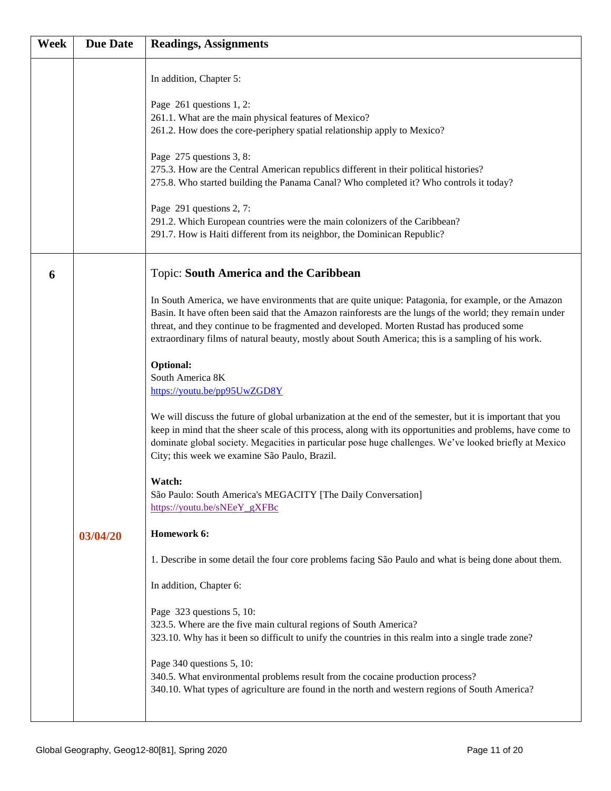| Week | <b>Due Date</b> | <b>Readings, Assignments</b>                                                                                                                                                                                                                                                                                                                                                                                                                                                                                                                                                                                                                                                                                                                                                                                                                                                                                                                                                                                                                                                                                                                                                                                                                                                                                                                                                  |
|------|-----------------|-------------------------------------------------------------------------------------------------------------------------------------------------------------------------------------------------------------------------------------------------------------------------------------------------------------------------------------------------------------------------------------------------------------------------------------------------------------------------------------------------------------------------------------------------------------------------------------------------------------------------------------------------------------------------------------------------------------------------------------------------------------------------------------------------------------------------------------------------------------------------------------------------------------------------------------------------------------------------------------------------------------------------------------------------------------------------------------------------------------------------------------------------------------------------------------------------------------------------------------------------------------------------------------------------------------------------------------------------------------------------------|
|      |                 | In addition, Chapter 5:<br>Page 261 questions 1, 2:<br>261.1. What are the main physical features of Mexico?<br>261.2. How does the core-periphery spatial relationship apply to Mexico?<br>Page 275 questions 3, 8:<br>275.3. How are the Central American republics different in their political histories?<br>275.8. Who started building the Panama Canal? Who completed it? Who controls it today?<br>Page 291 questions 2, 7:<br>291.2. Which European countries were the main colonizers of the Caribbean?<br>291.7. How is Haiti different from its neighbor, the Dominican Republic?                                                                                                                                                                                                                                                                                                                                                                                                                                                                                                                                                                                                                                                                                                                                                                                 |
| 6    |                 | Topic: South America and the Caribbean                                                                                                                                                                                                                                                                                                                                                                                                                                                                                                                                                                                                                                                                                                                                                                                                                                                                                                                                                                                                                                                                                                                                                                                                                                                                                                                                        |
|      | 03/04/20        | In South America, we have environments that are quite unique: Patagonia, for example, or the Amazon<br>Basin. It have often been said that the Amazon rainforests are the lungs of the world; they remain under<br>threat, and they continue to be fragmented and developed. Morten Rustad has produced some<br>extraordinary films of natural beauty, mostly about South America; this is a sampling of his work.<br>Optional:<br>South America 8K<br>https://youtu.be/pp95UwZGD8Y<br>We will discuss the future of global urbanization at the end of the semester, but it is important that you<br>keep in mind that the sheer scale of this process, along with its opportunities and problems, have come to<br>dominate global society. Megacities in particular pose huge challenges. We've looked briefly at Mexico<br>City; this week we examine São Paulo, Brazil.<br>Watch:<br>São Paulo: South America's MEGACITY [The Daily Conversation]<br>https://youtu.be/sNEeY_gXFBc<br>Homework 6:<br>1. Describe in some detail the four core problems facing São Paulo and what is being done about them.<br>In addition, Chapter 6:<br>Page 323 questions 5, 10:<br>323.5. Where are the five main cultural regions of South America?<br>323.10. Why has it been so difficult to unify the countries in this realm into a single trade zone?<br>Page 340 questions 5, 10: |
|      |                 | 340.5. What environmental problems result from the cocaine production process?<br>340.10. What types of agriculture are found in the north and western regions of South America?                                                                                                                                                                                                                                                                                                                                                                                                                                                                                                                                                                                                                                                                                                                                                                                                                                                                                                                                                                                                                                                                                                                                                                                              |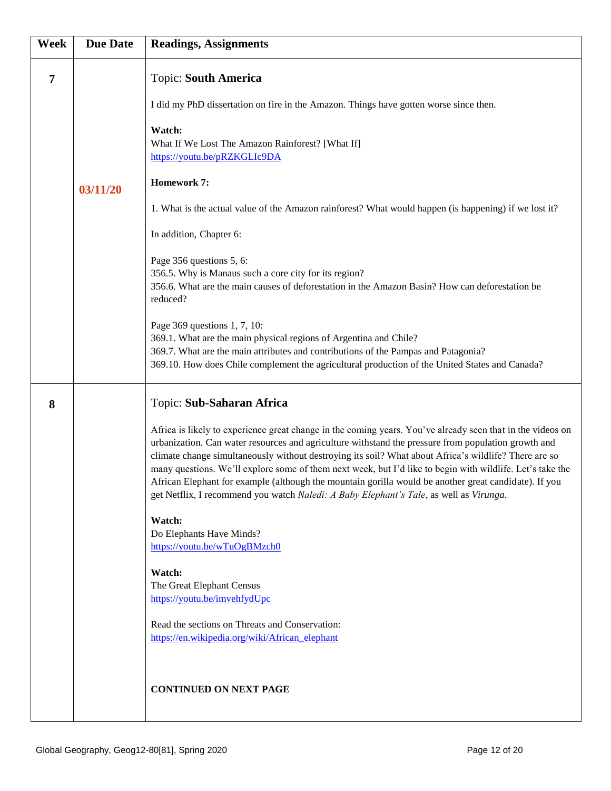| Week | <b>Due Date</b> | <b>Readings, Assignments</b>                                                                                                                                                                                                                                                                                                                                                                                                                                                                                                                                                                                                               |
|------|-----------------|--------------------------------------------------------------------------------------------------------------------------------------------------------------------------------------------------------------------------------------------------------------------------------------------------------------------------------------------------------------------------------------------------------------------------------------------------------------------------------------------------------------------------------------------------------------------------------------------------------------------------------------------|
| 7    |                 | <b>Topic: South America</b>                                                                                                                                                                                                                                                                                                                                                                                                                                                                                                                                                                                                                |
|      |                 | I did my PhD dissertation on fire in the Amazon. Things have gotten worse since then.                                                                                                                                                                                                                                                                                                                                                                                                                                                                                                                                                      |
|      |                 | Watch:<br>What If We Lost The Amazon Rainforest? [What If]<br>https://youtu.be/pRZKGLIc9DA                                                                                                                                                                                                                                                                                                                                                                                                                                                                                                                                                 |
|      | 03/11/20        | <b>Homework 7:</b>                                                                                                                                                                                                                                                                                                                                                                                                                                                                                                                                                                                                                         |
|      |                 | 1. What is the actual value of the Amazon rainforest? What would happen (is happening) if we lost it?                                                                                                                                                                                                                                                                                                                                                                                                                                                                                                                                      |
|      |                 | In addition, Chapter 6:                                                                                                                                                                                                                                                                                                                                                                                                                                                                                                                                                                                                                    |
|      |                 | Page 356 questions 5, 6:<br>356.5. Why is Manaus such a core city for its region?<br>356.6. What are the main causes of deforestation in the Amazon Basin? How can deforestation be<br>reduced?                                                                                                                                                                                                                                                                                                                                                                                                                                            |
|      |                 | Page 369 questions 1, 7, 10:<br>369.1. What are the main physical regions of Argentina and Chile?<br>369.7. What are the main attributes and contributions of the Pampas and Patagonia?<br>369.10. How does Chile complement the agricultural production of the United States and Canada?                                                                                                                                                                                                                                                                                                                                                  |
| 8    |                 | Topic: Sub-Saharan Africa                                                                                                                                                                                                                                                                                                                                                                                                                                                                                                                                                                                                                  |
|      |                 | Africa is likely to experience great change in the coming years. You've already seen that in the videos on<br>urbanization. Can water resources and agriculture withstand the pressure from population growth and<br>climate change simultaneously without destroying its soil? What about Africa's wildlife? There are so<br>many questions. We'll explore some of them next week, but I'd like to begin with wildlife. Let's take the<br>African Elephant for example (although the mountain gorilla would be another great candidate). If you<br>get Netflix, I recommend you watch Naledi: A Baby Elephant's Tale, as well as Virunga. |
|      |                 | Watch:<br>Do Elephants Have Minds?<br>https://youtu.be/wTuOgBMzch0                                                                                                                                                                                                                                                                                                                                                                                                                                                                                                                                                                         |
|      |                 | Watch:<br>The Great Elephant Census<br>https://youtu.be/imvehfydUpc                                                                                                                                                                                                                                                                                                                                                                                                                                                                                                                                                                        |
|      |                 | Read the sections on Threats and Conservation:<br>https://en.wikipedia.org/wiki/African_elephant                                                                                                                                                                                                                                                                                                                                                                                                                                                                                                                                           |
|      |                 | <b>CONTINUED ON NEXT PAGE</b>                                                                                                                                                                                                                                                                                                                                                                                                                                                                                                                                                                                                              |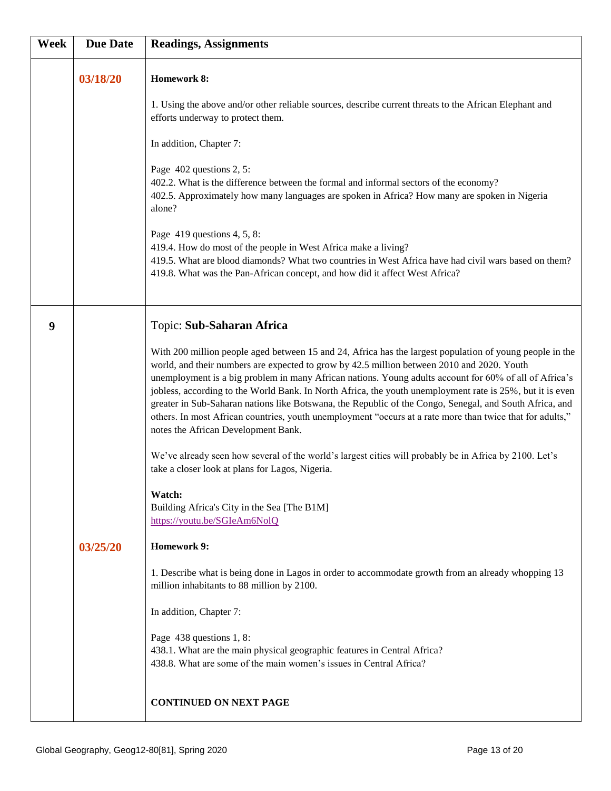| Week | <b>Due Date</b> | <b>Readings, Assignments</b>                                                                                                                                                                                                                                                                                                                                                                                                                                                                                                                                                                                                                                                                                                                                                                                                                                                                                                                                                                                                                                                                                                                                                                                                                                                                                                                                                                        |
|------|-----------------|-----------------------------------------------------------------------------------------------------------------------------------------------------------------------------------------------------------------------------------------------------------------------------------------------------------------------------------------------------------------------------------------------------------------------------------------------------------------------------------------------------------------------------------------------------------------------------------------------------------------------------------------------------------------------------------------------------------------------------------------------------------------------------------------------------------------------------------------------------------------------------------------------------------------------------------------------------------------------------------------------------------------------------------------------------------------------------------------------------------------------------------------------------------------------------------------------------------------------------------------------------------------------------------------------------------------------------------------------------------------------------------------------------|
|      | 03/18/20        | <b>Homework 8:</b><br>1. Using the above and/or other reliable sources, describe current threats to the African Elephant and<br>efforts underway to protect them.<br>In addition, Chapter 7:<br>Page 402 questions 2, 5:<br>402.2. What is the difference between the formal and informal sectors of the economy?<br>402.5. Approximately how many languages are spoken in Africa? How many are spoken in Nigeria<br>alone?<br>Page $419$ questions 4, 5, 8:<br>419.4. How do most of the people in West Africa make a living?<br>419.5. What are blood diamonds? What two countries in West Africa have had civil wars based on them?<br>419.8. What was the Pan-African concept, and how did it affect West Africa?                                                                                                                                                                                                                                                                                                                                                                                                                                                                                                                                                                                                                                                                               |
| 9    | 03/25/20        | Topic: Sub-Saharan Africa<br>With 200 million people aged between 15 and 24, Africa has the largest population of young people in the<br>world, and their numbers are expected to grow by 42.5 million between 2010 and 2020. Youth<br>unemployment is a big problem in many African nations. Young adults account for 60% of all of Africa's<br>jobless, according to the World Bank. In North Africa, the youth unemployment rate is 25%, but it is even<br>greater in Sub-Saharan nations like Botswana, the Republic of the Congo, Senegal, and South Africa, and<br>others. In most African countries, youth unemployment "occurs at a rate more than twice that for adults,"<br>notes the African Development Bank.<br>We've already seen how several of the world's largest cities will probably be in Africa by 2100. Let's<br>take a closer look at plans for Lagos, Nigeria.<br>Watch:<br>Building Africa's City in the Sea [The B1M]<br>https://youtu.be/SGIeAm6NolQ<br><b>Homework 9:</b><br>1. Describe what is being done in Lagos in order to accommodate growth from an already whopping 13<br>million inhabitants to 88 million by 2100.<br>In addition, Chapter 7:<br>Page 438 questions 1, 8:<br>438.1. What are the main physical geographic features in Central Africa?<br>438.8. What are some of the main women's issues in Central Africa?<br><b>CONTINUED ON NEXT PAGE</b> |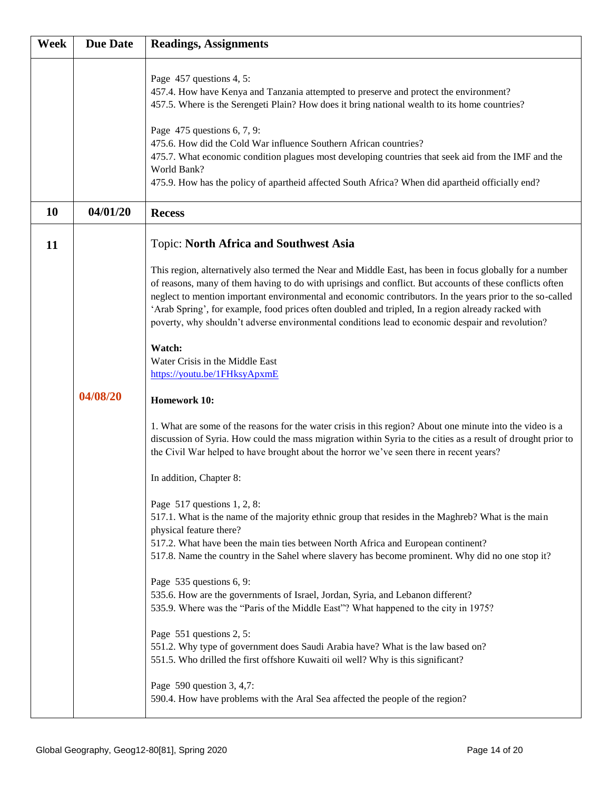| <b>Week</b> | <b>Due Date</b> | <b>Readings, Assignments</b>                                                                                                                                                                                                                                                                                                                                                                                                                                                                                                                          |
|-------------|-----------------|-------------------------------------------------------------------------------------------------------------------------------------------------------------------------------------------------------------------------------------------------------------------------------------------------------------------------------------------------------------------------------------------------------------------------------------------------------------------------------------------------------------------------------------------------------|
|             |                 | Page 457 questions 4, 5:<br>457.4. How have Kenya and Tanzania attempted to preserve and protect the environment?<br>457.5. Where is the Serengeti Plain? How does it bring national wealth to its home countries?<br>Page 475 questions 6, 7, 9:<br>475.6. How did the Cold War influence Southern African countries?                                                                                                                                                                                                                                |
|             |                 | 475.7. What economic condition plagues most developing countries that seek aid from the IMF and the<br>World Bank?<br>475.9. How has the policy of apartheid affected South Africa? When did apartheid officially end?                                                                                                                                                                                                                                                                                                                                |
| 10          | 04/01/20        | <b>Recess</b>                                                                                                                                                                                                                                                                                                                                                                                                                                                                                                                                         |
| 11          |                 | <b>Topic: North Africa and Southwest Asia</b>                                                                                                                                                                                                                                                                                                                                                                                                                                                                                                         |
|             |                 | This region, alternatively also termed the Near and Middle East, has been in focus globally for a number<br>of reasons, many of them having to do with uprisings and conflict. But accounts of these conflicts often<br>neglect to mention important environmental and economic contributors. In the years prior to the so-called<br>'Arab Spring', for example, food prices often doubled and tripled, In a region already racked with<br>poverty, why shouldn't adverse environmental conditions lead to economic despair and revolution?<br>Watch: |
|             |                 | Water Crisis in the Middle East<br>https://youtu.be/1FHksyApxmE                                                                                                                                                                                                                                                                                                                                                                                                                                                                                       |
|             | 04/08/20        | <b>Homework 10:</b>                                                                                                                                                                                                                                                                                                                                                                                                                                                                                                                                   |
|             |                 | 1. What are some of the reasons for the water crisis in this region? About one minute into the video is a<br>discussion of Syria. How could the mass migration within Syria to the cities as a result of drought prior to<br>the Civil War helped to have brought about the horror we've seen there in recent years?                                                                                                                                                                                                                                  |
|             |                 | In addition, Chapter 8:                                                                                                                                                                                                                                                                                                                                                                                                                                                                                                                               |
|             |                 | Page 517 questions 1, 2, 8:<br>517.1. What is the name of the majority ethnic group that resides in the Maghreb? What is the main<br>physical feature there?<br>517.2. What have been the main ties between North Africa and European continent?<br>517.8. Name the country in the Sahel where slavery has become prominent. Why did no one stop it?                                                                                                                                                                                                  |
|             |                 | Page 535 questions 6, 9:<br>535.6. How are the governments of Israel, Jordan, Syria, and Lebanon different?<br>535.9. Where was the "Paris of the Middle East"? What happened to the city in 1975?                                                                                                                                                                                                                                                                                                                                                    |
|             |                 | Page 551 questions 2, 5:<br>551.2. Why type of government does Saudi Arabia have? What is the law based on?<br>551.5. Who drilled the first offshore Kuwaiti oil well? Why is this significant?                                                                                                                                                                                                                                                                                                                                                       |
|             |                 | Page 590 question 3, 4,7:<br>590.4. How have problems with the Aral Sea affected the people of the region?                                                                                                                                                                                                                                                                                                                                                                                                                                            |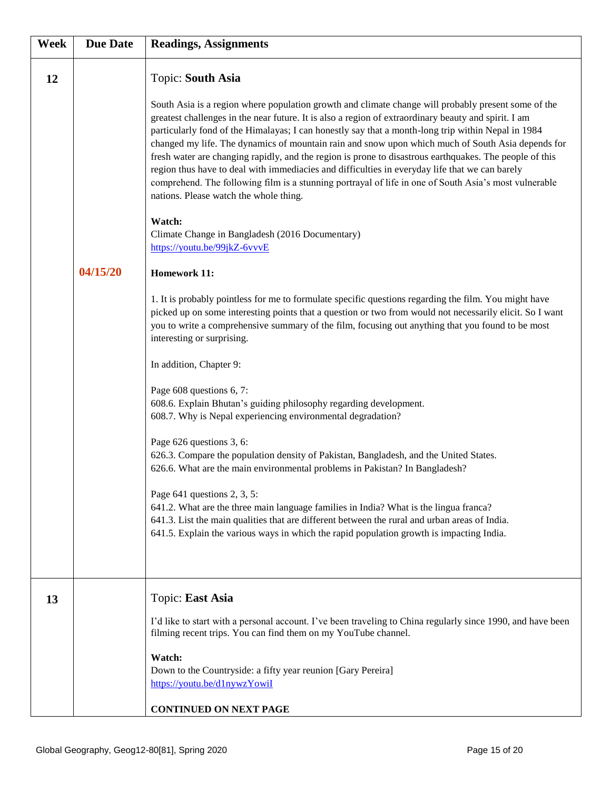| Week | <b>Due Date</b> | <b>Readings, Assignments</b>                                                                                                                                                                                                                                                                                                                                                                                                                                                                                                                                                                                                                                                                                                                                                                                                                                                                                                                                                                                                                                                                                                                                                                                                                                                                                                                                                                                                                                                                                                                                                                                                                                                                                                                                                                                                                                                                                                                                                                                  |
|------|-----------------|---------------------------------------------------------------------------------------------------------------------------------------------------------------------------------------------------------------------------------------------------------------------------------------------------------------------------------------------------------------------------------------------------------------------------------------------------------------------------------------------------------------------------------------------------------------------------------------------------------------------------------------------------------------------------------------------------------------------------------------------------------------------------------------------------------------------------------------------------------------------------------------------------------------------------------------------------------------------------------------------------------------------------------------------------------------------------------------------------------------------------------------------------------------------------------------------------------------------------------------------------------------------------------------------------------------------------------------------------------------------------------------------------------------------------------------------------------------------------------------------------------------------------------------------------------------------------------------------------------------------------------------------------------------------------------------------------------------------------------------------------------------------------------------------------------------------------------------------------------------------------------------------------------------------------------------------------------------------------------------------------------------|
| 12   | 04/15/20        | Topic: South Asia<br>South Asia is a region where population growth and climate change will probably present some of the<br>greatest challenges in the near future. It is also a region of extraordinary beauty and spirit. I am<br>particularly fond of the Himalayas; I can honestly say that a month-long trip within Nepal in 1984<br>changed my life. The dynamics of mountain rain and snow upon which much of South Asia depends for<br>fresh water are changing rapidly, and the region is prone to disastrous earthquakes. The people of this<br>region thus have to deal with immediacies and difficulties in everyday life that we can barely<br>comprehend. The following film is a stunning portrayal of life in one of South Asia's most vulnerable<br>nations. Please watch the whole thing.<br>Watch:<br>Climate Change in Bangladesh (2016 Documentary)<br>https://youtu.be/99jkZ-6vvvE<br><b>Homework 11:</b><br>1. It is probably pointless for me to formulate specific questions regarding the film. You might have<br>picked up on some interesting points that a question or two from would not necessarily elicit. So I want<br>you to write a comprehensive summary of the film, focusing out anything that you found to be most<br>interesting or surprising.<br>In addition, Chapter 9:<br>Page 608 questions 6, 7:<br>608.6. Explain Bhutan's guiding philosophy regarding development.<br>608.7. Why is Nepal experiencing environmental degradation?<br>Page 626 questions 3, 6:<br>626.3. Compare the population density of Pakistan, Bangladesh, and the United States.<br>626.6. What are the main environmental problems in Pakistan? In Bangladesh?<br>Page $641$ questions 2, 3, 5:<br>641.2. What are the three main language families in India? What is the lingua franca?<br>641.3. List the main qualities that are different between the rural and urban areas of India.<br>641.5. Explain the various ways in which the rapid population growth is impacting India. |
| 13   |                 | Topic: East Asia<br>I'd like to start with a personal account. I've been traveling to China regularly since 1990, and have been<br>filming recent trips. You can find them on my YouTube channel.<br>Watch:<br>Down to the Countryside: a fifty year reunion [Gary Pereira]<br>https://youtu.be/d1nywzYowiI<br><b>CONTINUED ON NEXT PAGE</b>                                                                                                                                                                                                                                                                                                                                                                                                                                                                                                                                                                                                                                                                                                                                                                                                                                                                                                                                                                                                                                                                                                                                                                                                                                                                                                                                                                                                                                                                                                                                                                                                                                                                  |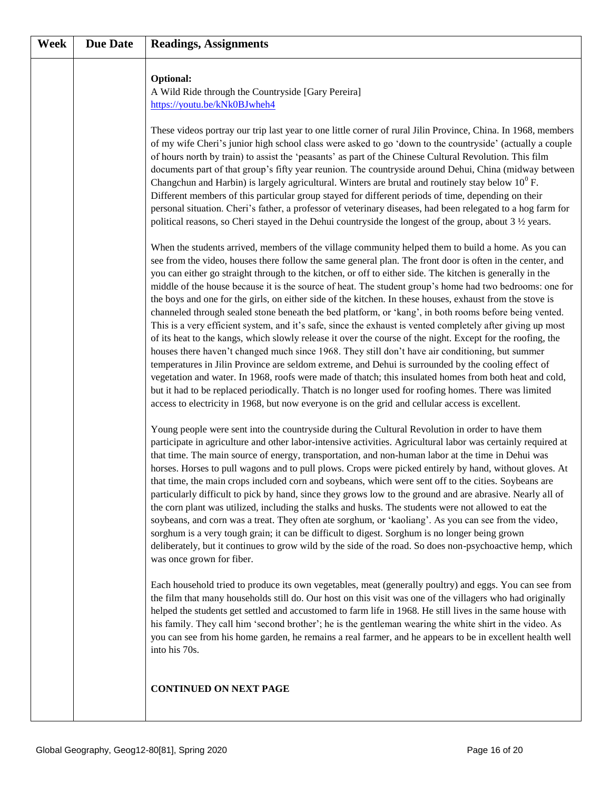| Week | <b>Due Date</b> | <b>Readings, Assignments</b>                                                                                                                                                                                                                                                                                                                                                                                                                                                                                                                                                                                                                                                                                                                                                                                                                                                                                                                                                                                                                                                                                                                                                                                                                                                                                                                                                                                                                                                                                                                                                                                                                                                                                                                                                                                                                                                                                                                                                                                                                                                                                                                                                                                                                                                                                                                                                                                                                                                                                                                                                                                                                                                                                                                                                                                                                                                                                                                                                                                                                                                                                                                                                                                                                                                                                                                                                                                                                                                                                                                                                                                                                                                                                                                                                                                                                                                                                                                                                                                                                                                                                                                                   |
|------|-----------------|----------------------------------------------------------------------------------------------------------------------------------------------------------------------------------------------------------------------------------------------------------------------------------------------------------------------------------------------------------------------------------------------------------------------------------------------------------------------------------------------------------------------------------------------------------------------------------------------------------------------------------------------------------------------------------------------------------------------------------------------------------------------------------------------------------------------------------------------------------------------------------------------------------------------------------------------------------------------------------------------------------------------------------------------------------------------------------------------------------------------------------------------------------------------------------------------------------------------------------------------------------------------------------------------------------------------------------------------------------------------------------------------------------------------------------------------------------------------------------------------------------------------------------------------------------------------------------------------------------------------------------------------------------------------------------------------------------------------------------------------------------------------------------------------------------------------------------------------------------------------------------------------------------------------------------------------------------------------------------------------------------------------------------------------------------------------------------------------------------------------------------------------------------------------------------------------------------------------------------------------------------------------------------------------------------------------------------------------------------------------------------------------------------------------------------------------------------------------------------------------------------------------------------------------------------------------------------------------------------------------------------------------------------------------------------------------------------------------------------------------------------------------------------------------------------------------------------------------------------------------------------------------------------------------------------------------------------------------------------------------------------------------------------------------------------------------------------------------------------------------------------------------------------------------------------------------------------------------------------------------------------------------------------------------------------------------------------------------------------------------------------------------------------------------------------------------------------------------------------------------------------------------------------------------------------------------------------------------------------------------------------------------------------------------------------------------------------------------------------------------------------------------------------------------------------------------------------------------------------------------------------------------------------------------------------------------------------------------------------------------------------------------------------------------------------------------------------------------------------------------------------------------------------------|
|      |                 | <b>Optional:</b><br>A Wild Ride through the Countryside [Gary Pereira]<br>https://youtu.be/kNk0BJwheh4<br>These videos portray our trip last year to one little corner of rural Jilin Province, China. In 1968, members<br>of my wife Cheri's junior high school class were asked to go 'down to the countryside' (actually a couple<br>of hours north by train) to assist the 'peasants' as part of the Chinese Cultural Revolution. This film<br>documents part of that group's fifty year reunion. The countryside around Dehui, China (midway between<br>Changchun and Harbin) is largely agricultural. Winters are brutal and routinely stay below $10^0$ F.<br>Different members of this particular group stayed for different periods of time, depending on their<br>personal situation. Cheri's father, a professor of veterinary diseases, had been relegated to a hog farm for<br>political reasons, so Cheri stayed in the Dehui countryside the longest of the group, about $3\frac{1}{2}$ years.<br>When the students arrived, members of the village community helped them to build a home. As you can<br>see from the video, houses there follow the same general plan. The front door is often in the center, and<br>you can either go straight through to the kitchen, or off to either side. The kitchen is generally in the<br>middle of the house because it is the source of heat. The student group's home had two bedrooms: one for<br>the boys and one for the girls, on either side of the kitchen. In these houses, exhaust from the stove is<br>channeled through sealed stone beneath the bed platform, or 'kang', in both rooms before being vented.<br>This is a very efficient system, and it's safe, since the exhaust is vented completely after giving up most<br>of its heat to the kangs, which slowly release it over the course of the night. Except for the roofing, the<br>houses there haven't changed much since 1968. They still don't have air conditioning, but summer<br>temperatures in Jilin Province are seldom extreme, and Dehui is surrounded by the cooling effect of<br>vegetation and water. In 1968, roofs were made of thatch; this insulated homes from both heat and cold,<br>but it had to be replaced periodically. Thatch is no longer used for roofing homes. There was limited<br>access to electricity in 1968, but now everyone is on the grid and cellular access is excellent.<br>Young people were sent into the countryside during the Cultural Revolution in order to have them<br>participate in agriculture and other labor-intensive activities. Agricultural labor was certainly required at<br>that time. The main source of energy, transportation, and non-human labor at the time in Dehui was<br>horses. Horses to pull wagons and to pull plows. Crops were picked entirely by hand, without gloves. At<br>that time, the main crops included corn and soybeans, which were sent off to the cities. Soybeans are<br>particularly difficult to pick by hand, since they grows low to the ground and are abrasive. Nearly all of<br>the corn plant was utilized, including the stalks and husks. The students were not allowed to eat the<br>soybeans, and corn was a treat. They often ate sorghum, or 'kaoliang'. As you can see from the video,<br>sorghum is a very tough grain; it can be difficult to digest. Sorghum is no longer being grown<br>deliberately, but it continues to grow wild by the side of the road. So does non-psychoactive hemp, which<br>was once grown for fiber.<br>Each household tried to produce its own vegetables, meat (generally poultry) and eggs. You can see from<br>the film that many households still do. Our host on this visit was one of the villagers who had originally<br>helped the students get settled and accustomed to farm life in 1968. He still lives in the same house with<br>his family. They call him 'second brother'; he is the gentleman wearing the white shirt in the video. As<br>you can see from his home garden, he remains a real farmer, and he appears to be in excellent health well<br>into his 70s. |
|      |                 | <b>CONTINUED ON NEXT PAGE</b>                                                                                                                                                                                                                                                                                                                                                                                                                                                                                                                                                                                                                                                                                                                                                                                                                                                                                                                                                                                                                                                                                                                                                                                                                                                                                                                                                                                                                                                                                                                                                                                                                                                                                                                                                                                                                                                                                                                                                                                                                                                                                                                                                                                                                                                                                                                                                                                                                                                                                                                                                                                                                                                                                                                                                                                                                                                                                                                                                                                                                                                                                                                                                                                                                                                                                                                                                                                                                                                                                                                                                                                                                                                                                                                                                                                                                                                                                                                                                                                                                                                                                                                                  |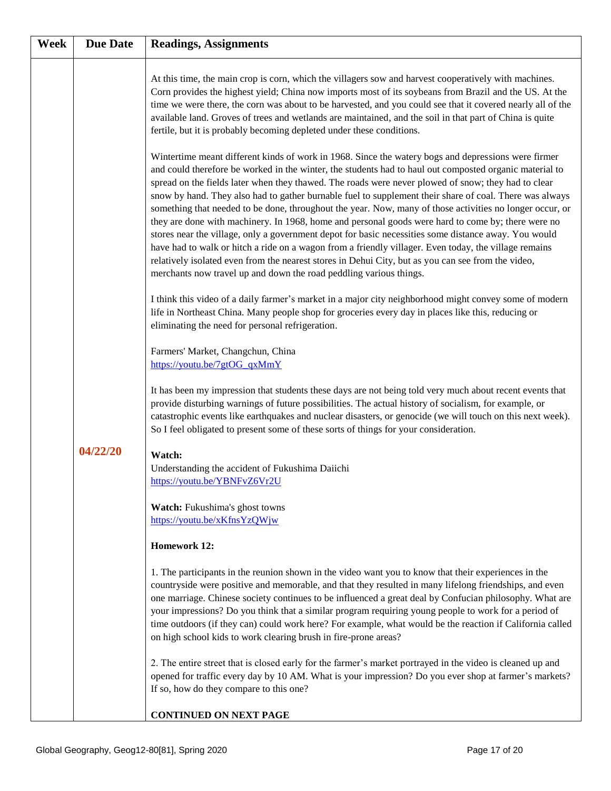| Week | <b>Due Date</b> | <b>Readings, Assignments</b>                                                                                                                                                                                                                                                                                                                                                                                                                                                                                                                                                                                                                                                                                                                                                                                                                                                                                                                                                                                                                    |
|------|-----------------|-------------------------------------------------------------------------------------------------------------------------------------------------------------------------------------------------------------------------------------------------------------------------------------------------------------------------------------------------------------------------------------------------------------------------------------------------------------------------------------------------------------------------------------------------------------------------------------------------------------------------------------------------------------------------------------------------------------------------------------------------------------------------------------------------------------------------------------------------------------------------------------------------------------------------------------------------------------------------------------------------------------------------------------------------|
|      |                 | At this time, the main crop is corn, which the villagers sow and harvest cooperatively with machines.<br>Corn provides the highest yield; China now imports most of its soybeans from Brazil and the US. At the<br>time we were there, the corn was about to be harvested, and you could see that it covered nearly all of the<br>available land. Groves of trees and wetlands are maintained, and the soil in that part of China is quite<br>fertile, but it is probably becoming depleted under these conditions.                                                                                                                                                                                                                                                                                                                                                                                                                                                                                                                             |
|      |                 | Wintertime meant different kinds of work in 1968. Since the watery bogs and depressions were firmer<br>and could therefore be worked in the winter, the students had to haul out composted organic material to<br>spread on the fields later when they thawed. The roads were never plowed of snow; they had to clear<br>snow by hand. They also had to gather burnable fuel to supplement their share of coal. There was always<br>something that needed to be done, throughout the year. Now, many of those activities no longer occur, or<br>they are done with machinery. In 1968, home and personal goods were hard to come by; there were no<br>stores near the village, only a government depot for basic necessities some distance away. You would<br>have had to walk or hitch a ride on a wagon from a friendly villager. Even today, the village remains<br>relatively isolated even from the nearest stores in Dehui City, but as you can see from the video,<br>merchants now travel up and down the road peddling various things. |
|      |                 | I think this video of a daily farmer's market in a major city neighborhood might convey some of modern<br>life in Northeast China. Many people shop for groceries every day in places like this, reducing or<br>eliminating the need for personal refrigeration.                                                                                                                                                                                                                                                                                                                                                                                                                                                                                                                                                                                                                                                                                                                                                                                |
|      |                 | Farmers' Market, Changchun, China<br>https://youtu.be/7gtOG qxMmY                                                                                                                                                                                                                                                                                                                                                                                                                                                                                                                                                                                                                                                                                                                                                                                                                                                                                                                                                                               |
|      |                 | It has been my impression that students these days are not being told very much about recent events that<br>provide disturbing warnings of future possibilities. The actual history of socialism, for example, or<br>catastrophic events like earthquakes and nuclear disasters, or genocide (we will touch on this next week).<br>So I feel obligated to present some of these sorts of things for your consideration.                                                                                                                                                                                                                                                                                                                                                                                                                                                                                                                                                                                                                         |
|      | 04/22/20        | Watch:<br>Understanding the accident of Fukushima Daiichi<br>https://youtu.be/YBNFvZ6Vr2U                                                                                                                                                                                                                                                                                                                                                                                                                                                                                                                                                                                                                                                                                                                                                                                                                                                                                                                                                       |
|      |                 | Watch: Fukushima's ghost towns<br>https://youtu.be/xKfnsYzQWjw                                                                                                                                                                                                                                                                                                                                                                                                                                                                                                                                                                                                                                                                                                                                                                                                                                                                                                                                                                                  |
|      |                 | <b>Homework 12:</b>                                                                                                                                                                                                                                                                                                                                                                                                                                                                                                                                                                                                                                                                                                                                                                                                                                                                                                                                                                                                                             |
|      |                 | 1. The participants in the reunion shown in the video want you to know that their experiences in the<br>countryside were positive and memorable, and that they resulted in many lifelong friendships, and even<br>one marriage. Chinese society continues to be influenced a great deal by Confucian philosophy. What are<br>your impressions? Do you think that a similar program requiring young people to work for a period of<br>time outdoors (if they can) could work here? For example, what would be the reaction if California called<br>on high school kids to work clearing brush in fire-prone areas?                                                                                                                                                                                                                                                                                                                                                                                                                               |
|      |                 | 2. The entire street that is closed early for the farmer's market portrayed in the video is cleaned up and<br>opened for traffic every day by 10 AM. What is your impression? Do you ever shop at farmer's markets?<br>If so, how do they compare to this one?                                                                                                                                                                                                                                                                                                                                                                                                                                                                                                                                                                                                                                                                                                                                                                                  |
|      |                 | <b>CONTINUED ON NEXT PAGE</b>                                                                                                                                                                                                                                                                                                                                                                                                                                                                                                                                                                                                                                                                                                                                                                                                                                                                                                                                                                                                                   |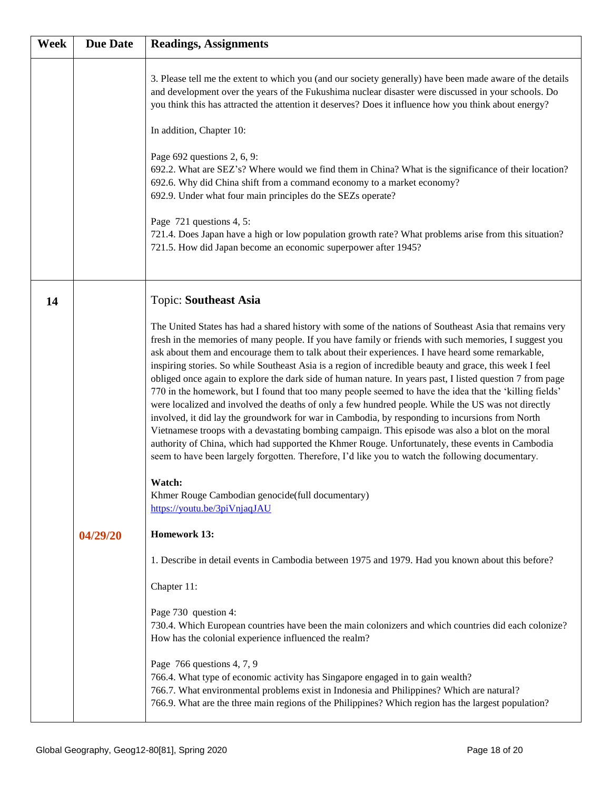| Week | <b>Due Date</b> | <b>Readings, Assignments</b>                                                                                                                                                                                                                                                                                                                                                                                                                                                                                                                                                                                                                                                                                                                                                                                                                                                                                                                                                                                                                                                                                                                                                                                                                                               |
|------|-----------------|----------------------------------------------------------------------------------------------------------------------------------------------------------------------------------------------------------------------------------------------------------------------------------------------------------------------------------------------------------------------------------------------------------------------------------------------------------------------------------------------------------------------------------------------------------------------------------------------------------------------------------------------------------------------------------------------------------------------------------------------------------------------------------------------------------------------------------------------------------------------------------------------------------------------------------------------------------------------------------------------------------------------------------------------------------------------------------------------------------------------------------------------------------------------------------------------------------------------------------------------------------------------------|
|      |                 | 3. Please tell me the extent to which you (and our society generally) have been made aware of the details<br>and development over the years of the Fukushima nuclear disaster were discussed in your schools. Do<br>you think this has attracted the attention it deserves? Does it influence how you think about energy?<br>In addition, Chapter 10:<br>Page 692 questions 2, 6, 9:<br>692.2. What are SEZ's? Where would we find them in China? What is the significance of their location?<br>692.6. Why did China shift from a command economy to a market economy?<br>692.9. Under what four main principles do the SEZs operate?<br>Page 721 questions 4, 5:<br>721.4. Does Japan have a high or low population growth rate? What problems arise from this situation?<br>721.5. How did Japan become an economic superpower after 1945?                                                                                                                                                                                                                                                                                                                                                                                                                              |
| 14   |                 | <b>Topic: Southeast Asia</b>                                                                                                                                                                                                                                                                                                                                                                                                                                                                                                                                                                                                                                                                                                                                                                                                                                                                                                                                                                                                                                                                                                                                                                                                                                               |
|      |                 | The United States has had a shared history with some of the nations of Southeast Asia that remains very<br>fresh in the memories of many people. If you have family or friends with such memories, I suggest you<br>ask about them and encourage them to talk about their experiences. I have heard some remarkable,<br>inspiring stories. So while Southeast Asia is a region of incredible beauty and grace, this week I feel<br>obliged once again to explore the dark side of human nature. In years past, I listed question 7 from page<br>770 in the homework, but I found that too many people seemed to have the idea that the 'killing fields'<br>were localized and involved the deaths of only a few hundred people. While the US was not directly<br>involved, it did lay the groundwork for war in Cambodia, by responding to incursions from North<br>Vietnamese troops with a devastating bombing campaign. This episode was also a blot on the moral<br>authority of China, which had supported the Khmer Rouge. Unfortunately, these events in Cambodia<br>seem to have been largely forgotten. Therefore, I'd like you to watch the following documentary.<br>Watch:<br>Khmer Rouge Cambodian genocide(full documentary)<br>https://youtu.be/3piVnjaqJAU |
|      | 04/29/20        | <b>Homework 13:</b>                                                                                                                                                                                                                                                                                                                                                                                                                                                                                                                                                                                                                                                                                                                                                                                                                                                                                                                                                                                                                                                                                                                                                                                                                                                        |
|      |                 | 1. Describe in detail events in Cambodia between 1975 and 1979. Had you known about this before?                                                                                                                                                                                                                                                                                                                                                                                                                                                                                                                                                                                                                                                                                                                                                                                                                                                                                                                                                                                                                                                                                                                                                                           |
|      |                 | Chapter 11:                                                                                                                                                                                                                                                                                                                                                                                                                                                                                                                                                                                                                                                                                                                                                                                                                                                                                                                                                                                                                                                                                                                                                                                                                                                                |
|      |                 | Page 730 question 4:<br>730.4. Which European countries have been the main colonizers and which countries did each colonize?<br>How has the colonial experience influenced the realm?                                                                                                                                                                                                                                                                                                                                                                                                                                                                                                                                                                                                                                                                                                                                                                                                                                                                                                                                                                                                                                                                                      |
|      |                 | Page 766 questions 4, 7, 9<br>766.4. What type of economic activity has Singapore engaged in to gain wealth?<br>766.7. What environmental problems exist in Indonesia and Philippines? Which are natural?<br>766.9. What are the three main regions of the Philippines? Which region has the largest population?                                                                                                                                                                                                                                                                                                                                                                                                                                                                                                                                                                                                                                                                                                                                                                                                                                                                                                                                                           |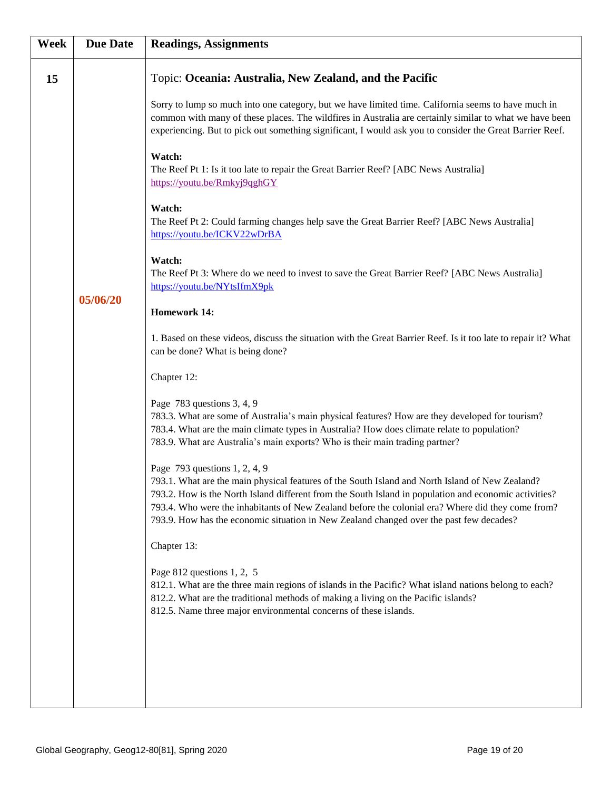| Week | <b>Due Date</b> | <b>Readings, Assignments</b>                                                                                                                                                                                                                                                                                                                                                                                                              |
|------|-----------------|-------------------------------------------------------------------------------------------------------------------------------------------------------------------------------------------------------------------------------------------------------------------------------------------------------------------------------------------------------------------------------------------------------------------------------------------|
| 15   |                 | Topic: Oceania: Australia, New Zealand, and the Pacific                                                                                                                                                                                                                                                                                                                                                                                   |
|      |                 | Sorry to lump so much into one category, but we have limited time. California seems to have much in<br>common with many of these places. The wildfires in Australia are certainly similar to what we have been<br>experiencing. But to pick out something significant, I would ask you to consider the Great Barrier Reef.                                                                                                                |
|      |                 | Watch:<br>The Reef Pt 1: Is it too late to repair the Great Barrier Reef? [ABC News Australia]<br>https://youtu.be/Rmkyj9qghGY                                                                                                                                                                                                                                                                                                            |
|      | 05/06/20        | Watch:<br>The Reef Pt 2: Could farming changes help save the Great Barrier Reef? [ABC News Australia]<br>https://youtu.be/ICKV22wDrBA                                                                                                                                                                                                                                                                                                     |
|      |                 | Watch:<br>The Reef Pt 3: Where do we need to invest to save the Great Barrier Reef? [ABC News Australia]<br>https://youtu.be/NYtsIfmX9pk                                                                                                                                                                                                                                                                                                  |
|      |                 | <b>Homework 14:</b>                                                                                                                                                                                                                                                                                                                                                                                                                       |
|      |                 | 1. Based on these videos, discuss the situation with the Great Barrier Reef. Is it too late to repair it? What<br>can be done? What is being done?                                                                                                                                                                                                                                                                                        |
|      |                 | Chapter 12:                                                                                                                                                                                                                                                                                                                                                                                                                               |
|      |                 | Page 783 questions 3, 4, 9<br>783.3. What are some of Australia's main physical features? How are they developed for tourism?<br>783.4. What are the main climate types in Australia? How does climate relate to population?<br>783.9. What are Australia's main exports? Who is their main trading partner?                                                                                                                              |
|      |                 | Page 793 questions 1, 2, 4, 9<br>793.1. What are the main physical features of the South Island and North Island of New Zealand?<br>793.2. How is the North Island different from the South Island in population and economic activities?<br>793.4. Who were the inhabitants of New Zealand before the colonial era? Where did they come from?<br>793.9. How has the economic situation in New Zealand changed over the past few decades? |
|      |                 | Chapter 13:                                                                                                                                                                                                                                                                                                                                                                                                                               |
|      |                 | Page $812$ questions 1, 2, 5<br>812.1. What are the three main regions of islands in the Pacific? What island nations belong to each?<br>812.2. What are the traditional methods of making a living on the Pacific islands?<br>812.5. Name three major environmental concerns of these islands.                                                                                                                                           |
|      |                 |                                                                                                                                                                                                                                                                                                                                                                                                                                           |